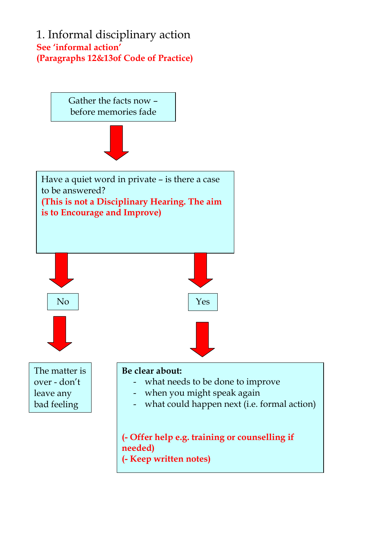### 1. Informal disciplinary action **See 'informal action' (Paragraphs 12&13of Code of Practice)**

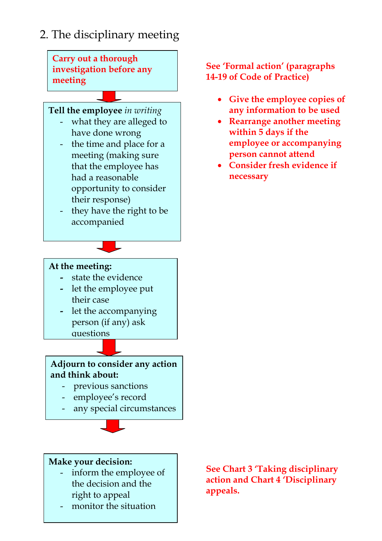

**Carry out a thorough investigation before any meeting** 

### **Tell the employee** *in writing*

- what they are alleged to have done wrong
- the time and place for a meeting (making sure that the employee has had a reasonable opportunity to consider their response)
- they have the right to be accompanied

#### **See 'Formal action' (paragraphs 14-19 of Code of Practice)**

- **Give the employee copies of any information to be used**
- **Rearrange another meeting within 5 days if the employee or accompanying person cannot attend**
- **Consider fresh evidence if necessary**

#### **At the meeting:**

- state the evidence
- let the employee put their case
- let the accompanying person (if any) ask questions

#### **Adjourn to consider any action and think about:**

- previous sanctions
- employee's record
- any special circumstances

#### **Make your decision:**

- inform the employee of the decision and the right to appeal
- monitor the situation

**See Chart 3 'Taking disciplinary action and Chart 4 'Disciplinary appeals.**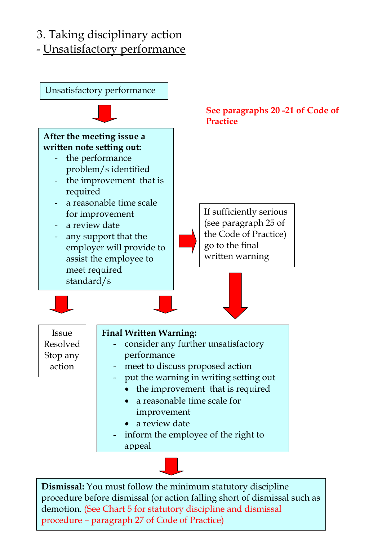# 3. Taking disciplinary action

- Unsatisfactory performance



procedure – paragraph 27 of Code of Practice)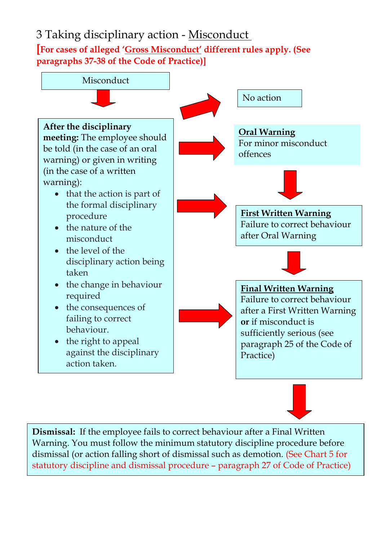# 3 Taking disciplinary action - Misconduct

**[For cases of alleged 'Gross Misconduct' different rules apply. (See paragraphs 37-38 of the Code of Practice)]** 



**Dismissal:** If the employee fails to correct behaviour after a Final Written Warning. You must follow the minimum statutory discipline procedure before dismissal (or action falling short of dismissal such as demotion. (See Chart 5 for statutory discipline and dismissal procedure – paragraph 27 of Code of Practice)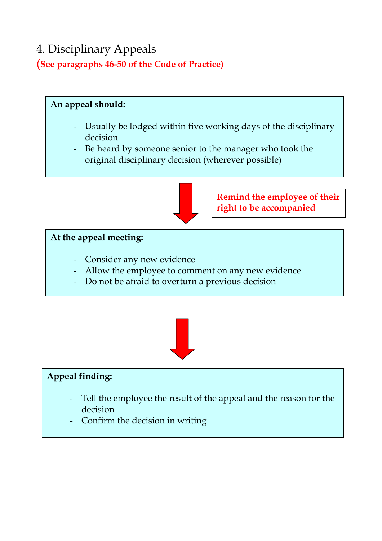# 4. Disciplinary Appeals (**See paragraphs 46-50 of the Code of Practice)**

### **An appeal should:**

- Usually be lodged within five working days of the disciplinary decision
- Be heard by someone senior to the manager who took the original disciplinary decision (wherever possible)



**Remind the employee of their right to be accompanied** 

### **At the appeal meeting:**

- Consider any new evidence
- Allow the employee to comment on any new evidence
- Do not be afraid to overturn a previous decision



### **Appeal finding:**

- Tell the employee the result of the appeal and the reason for the decision
- Confirm the decision in writing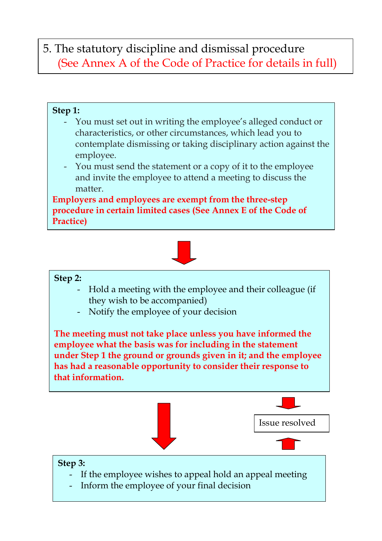# 5. The statutory discipline and dismissal procedure (See Annex A of the Code of Practice for details in full)

### **Step 1:**

- You must set out in writing the employee's alleged conduct or characteristics, or other circumstances, which lead you to contemplate dismissing or taking disciplinary action against the employee.
- You must send the statement or a copy of it to the employee and invite the employee to attend a meeting to discuss the matter.

**Employers and employees are exempt from the three-step procedure in certain limited cases (See Annex E of the Code of Practice)** 



### **Step 2:**

- Hold a meeting with the employee and their colleague (if they wish to be accompanied)
- Notify the employee of your decision

**The meeting must not take place unless you have informed the employee what the basis was for including in the statement under Step 1 the ground or grounds given in it; and the employee has had a reasonable opportunity to consider their response to that information.** 



- Inform the employee of your final decision